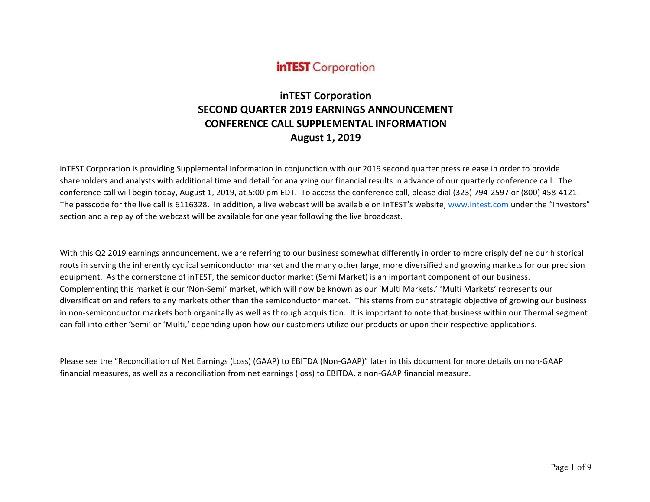# **inTEST** Corporation

# **inTEST Corporation SECOND QUARTER 2019 EARNINGS ANNOUNCEMENT CONFERENCE CALL SUPPLEMENTAL INFORMATION August 1, 2019**

inTEST Corporation is providing Supplemental Information in conjunction with our 2019 second quarter press release in order to provide shareholders and analysts with additional time and detail for analyzing our financial results in advance of our quarterly conference call. The conference call will begin today, August 1, 2019, at 5:00 pm EDT. To access the conference call, please dial (323) 794-2597 or (800) 458-4121. The passcode for the live call is 6116328. In addition, a live webcast will be available on inTEST's website, www.intest.com under the "Investors" section and a replay of the webcast will be available for one year following the live broadcast.

With this Q2 2019 earnings announcement, we are referring to our business somewhat differently in order to more crisply define our historical roots in serving the inherently cyclical semiconductor market and the many other large, more diversified and growing markets for our precision equipment. As the cornerstone of inTEST, the semiconductor market (Semi Market) is an important component of our business. Complementing this market is our 'Non-Semi' market, which will now be known as our 'Multi Markets.' 'Multi Markets' represents our diversification and refers to any markets other than the semiconductor market. This stems from our strategic objective of growing our business in non-semiconductor markets both organically as well as through acquisition. It is important to note that business within our Thermal segment can fall into either 'Semi' or 'Multi,' depending upon how our customers utilize our products or upon their respective applications.

Please see the "Reconciliation of Net Earnings (Loss) (GAAP) to EBITDA (Non-GAAP)" later in this document for more details on non-GAAP financial measures, as well as a reconciliation from net earnings (loss) to EBITDA, a non-GAAP financial measure.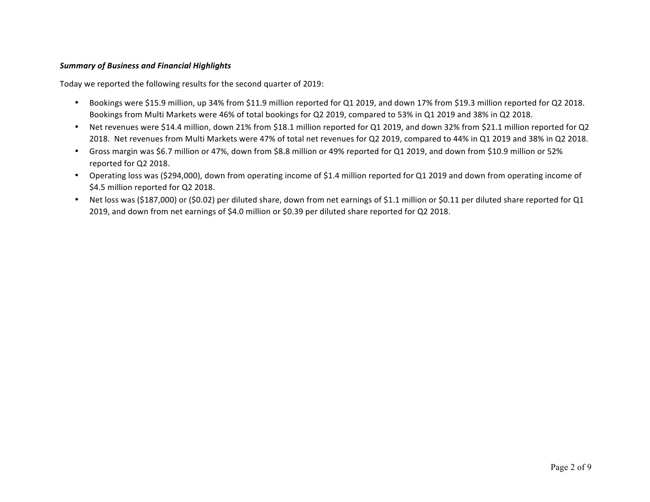# *Summary of Business and Financial Highlights*

Today we reported the following results for the second quarter of 2019:

- Bookings were \$15.9 million, up 34% from \$11.9 million reported for Q1 2019, and down 17% from \$19.3 million reported for Q2 2018. Bookings from Multi Markets were 46% of total bookings for Q2 2019, compared to 53% in Q1 2019 and 38% in Q2 2018.
- Net revenues were \$14.4 million, down 21% from \$18.1 million reported for Q1 2019, and down 32% from \$21.1 million reported for Q2 2018. Net revenues from Multi Markets were 47% of total net revenues for Q2 2019, compared to 44% in Q1 2019 and 38% in Q2 2018.
- Gross margin was \$6.7 million or 47%, down from \$8.8 million or 49% reported for Q1 2019, and down from \$10.9 million or 52% reported for Q2 2018.
- Operating loss was (\$294,000), down from operating income of \$1.4 million reported for Q1 2019 and down from operating income of \$4.5 million reported for Q2 2018.
- Net loss was (\$187,000) or (\$0.02) per diluted share, down from net earnings of \$1.1 million or \$0.11 per diluted share reported for Q1 2019, and down from net earnings of \$4.0 million or \$0.39 per diluted share reported for Q2 2018.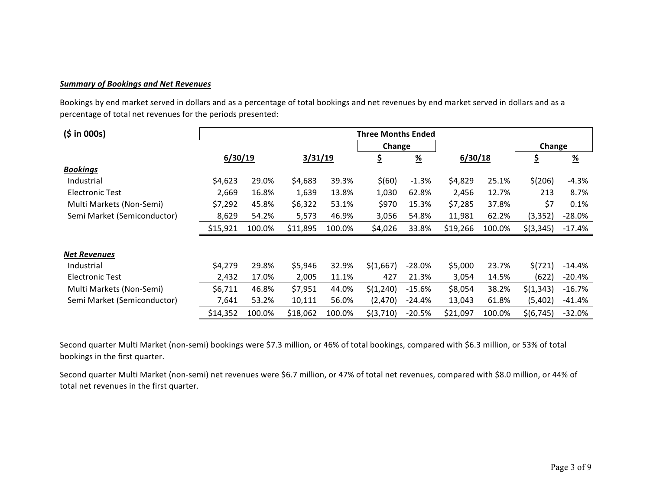# *Summary of Bookings and Net Revenues*

Bookings by end market served in dollars and as a percentage of total bookings and net revenues by end market served in dollars and as a percentage of total net revenues for the periods presented:

| (5 in 000s)                 | <b>Three Months Ended</b> |        |          |        |           |                       |          |        |             |               |
|-----------------------------|---------------------------|--------|----------|--------|-----------|-----------------------|----------|--------|-------------|---------------|
|                             |                           |        |          |        | Change    |                       |          |        | Change      |               |
|                             | 6/30/19                   |        | 3/31/19  |        | \$        | $\frac{\%}{\sqrt{2}}$ | 6/30/18  |        | <u>\$</u>   | $\frac{9}{6}$ |
| <b>Bookings</b>             |                           |        |          |        |           |                       |          |        |             |               |
| Industrial                  | \$4,623                   | 29.0%  | \$4,683  | 39.3%  | \$(60)    | $-1.3%$               | \$4,829  | 25.1%  | \$(206)     | $-4.3%$       |
| <b>Electronic Test</b>      | 2,669                     | 16.8%  | 1,639    | 13.8%  | 1,030     | 62.8%                 | 2,456    | 12.7%  | 213         | 8.7%          |
| Multi Markets (Non-Semi)    | \$7,292                   | 45.8%  | \$6,322  | 53.1%  | \$970     | 15.3%                 | \$7,285  | 37.8%  | \$7         | 0.1%          |
| Semi Market (Semiconductor) | 8,629                     | 54.2%  | 5,573    | 46.9%  | 3,056     | 54.8%                 | 11,981   | 62.2%  | (3, 352)    | $-28.0%$      |
|                             | \$15,921                  | 100.0% | \$11,895 | 100.0% | \$4,026   | 33.8%                 | \$19,266 | 100.0% | $$$ (3,345) | $-17.4%$      |
|                             |                           |        |          |        |           |                       |          |        |             |               |
| <b>Net Revenues</b>         |                           |        |          |        |           |                       |          |        |             |               |
| Industrial                  | \$4,279                   | 29.8%  | \$5,946  | 32.9%  | \$(1,667) | $-28.0%$              | \$5,000  | 23.7%  | \$(721)     | -14.4%        |
| <b>Electronic Test</b>      | 2,432                     | 17.0%  | 2,005    | 11.1%  | 427       | 21.3%                 | 3,054    | 14.5%  | (622)       | -20.4%        |
| Multi Markets (Non-Semi)    | \$6,711                   | 46.8%  | \$7,951  | 44.0%  | \$(1,240) | $-15.6%$              | \$8,054  | 38.2%  | \$(1,343)   | $-16.7%$      |
| Semi Market (Semiconductor) | 7,641                     | 53.2%  | 10,111   | 56.0%  | (2,470)   | $-24.4%$              | 13,043   | 61.8%  | (5,402)     | -41.4%        |
|                             | \$14,352                  | 100.0% | \$18,062 | 100.0% | \$(3,710) | -20.5%                | \$21,097 | 100.0% | \$(6, 745)  | $-32.0%$      |

Second quarter Multi Market (non-semi) bookings were \$7.3 million, or 46% of total bookings, compared with \$6.3 million, or 53% of total bookings in the first quarter.

Second quarter Multi Market (non-semi) net revenues were \$6.7 million, or 47% of total net revenues, compared with \$8.0 million, or 44% of total net revenues in the first quarter.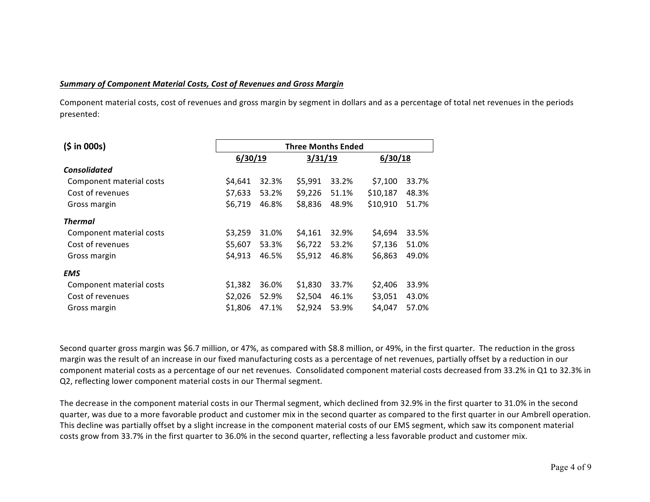### *Summary of Component Material Costs, Cost of Revenues and Gross Margin*

Component material costs, cost of revenues and gross margin by segment in dollars and as a percentage of total net revenues in the periods presented:

| (5 in 000s)              | <b>Three Months Ended</b> |       |         |         |          |       |  |  |  |
|--------------------------|---------------------------|-------|---------|---------|----------|-------|--|--|--|
|                          | 6/30/19                   |       | 3/31/19 | 6/30/18 |          |       |  |  |  |
| <b>Consolidated</b>      |                           |       |         |         |          |       |  |  |  |
| Component material costs | \$4,641                   | 32.3% | \$5,991 | 33.2%   | \$7,100  | 33.7% |  |  |  |
| Cost of revenues         | \$7,633                   | 53.2% | \$9,226 | 51.1%   | \$10,187 | 48.3% |  |  |  |
| Gross margin             | \$6,719                   | 46.8% | \$8,836 | 48.9%   | \$10,910 | 51.7% |  |  |  |
| <b>Thermal</b>           |                           |       |         |         |          |       |  |  |  |
| Component material costs | \$3,259                   | 31.0% | \$4,161 | 32.9%   | \$4,694  | 33.5% |  |  |  |
| Cost of revenues         | \$5,607                   | 53.3% | \$6,722 | 53.2%   | \$7,136  | 51.0% |  |  |  |
| Gross margin             | \$4,913                   | 46.5% | \$5,912 | 46.8%   | \$6,863  | 49.0% |  |  |  |
| <b>EMS</b>               |                           |       |         |         |          |       |  |  |  |
| Component material costs | \$1,382                   | 36.0% | \$1,830 | 33.7%   | \$2,406  | 33.9% |  |  |  |
| Cost of revenues         | \$2,026                   | 52.9% | \$2,504 | 46.1%   | \$3,051  | 43.0% |  |  |  |
| Gross margin             | \$1,806                   | 47.1% | \$2,924 | 53.9%   | \$4,047  | 57.0% |  |  |  |

Second quarter gross margin was \$6.7 million, or 47%, as compared with \$8.8 million, or 49%, in the first quarter. The reduction in the gross margin was the result of an increase in our fixed manufacturing costs as a percentage of net revenues, partially offset by a reduction in our component material costs as a percentage of our net revenues. Consolidated component material costs decreased from 33.2% in Q1 to 32.3% in Q2, reflecting lower component material costs in our Thermal segment.

The decrease in the component material costs in our Thermal segment, which declined from 32.9% in the first quarter to 31.0% in the second quarter, was due to a more favorable product and customer mix in the second quarter as compared to the first quarter in our Ambrell operation. This decline was partially offset by a slight increase in the component material costs of our EMS segment, which saw its component material costs grow from 33.7% in the first quarter to 36.0% in the second quarter, reflecting a less favorable product and customer mix.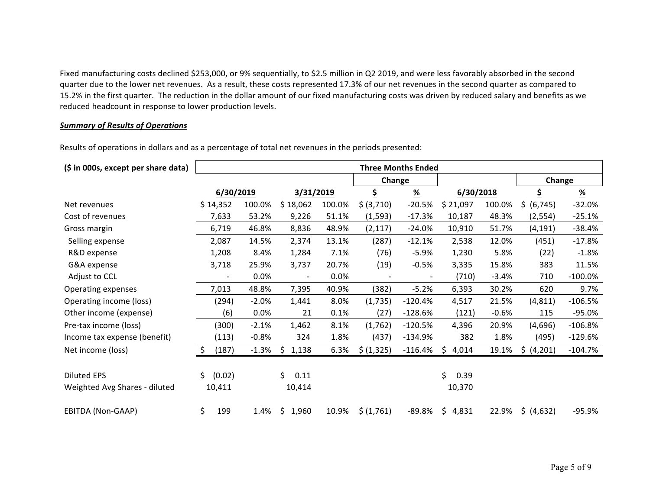Fixed manufacturing costs declined \$253,000, or 9% sequentially, to \$2.5 million in Q2 2019, and were less favorably absorbed in the second quarter due to the lower net revenues. As a result, these costs represented 17.3% of our net revenues in the second quarter as compared to 15.2% in the first quarter. The reduction in the dollar amount of our fixed manufacturing costs was driven by reduced salary and benefits as we reduced headcount in response to lower production levels.

#### **Summary of Results of Operations**

Results of operations in dollars and as a percentage of total net revenues in the periods presented:

| (\$ in 000s, except per share data) | <b>Three Months Ended</b> |         |                          |        |            |                           |             |         |             |               |
|-------------------------------------|---------------------------|---------|--------------------------|--------|------------|---------------------------|-------------|---------|-------------|---------------|
|                                     |                           |         |                          |        | Change     |                           |             |         | Change      |               |
|                                     | 6/30/2019                 |         | 3/31/2019                |        | \$         | $\underline{\mathcal{H}}$ | 6/30/2018   |         | \$          | $\frac{9}{6}$ |
| Net revenues                        | \$14,352                  | 100.0%  | \$18,062                 | 100.0% | \$ (3,710) | $-20.5%$                  | \$21,097    | 100.0%  | \$ (6, 745) | $-32.0%$      |
| Cost of revenues                    | 7,633                     | 53.2%   | 9,226                    | 51.1%  | (1, 593)   | $-17.3%$                  | 10,187      | 48.3%   | (2, 554)    | $-25.1%$      |
| Gross margin                        | 6,719                     | 46.8%   | 8,836                    | 48.9%  | (2, 117)   | $-24.0%$                  | 10,910      | 51.7%   | (4, 191)    | $-38.4%$      |
| Selling expense                     | 2,087                     | 14.5%   | 2,374                    | 13.1%  | (287)      | $-12.1%$                  | 2,538       | 12.0%   | (451)       | $-17.8%$      |
| R&D expense                         | 1,208                     | 8.4%    | 1,284                    | 7.1%   | (76)       | $-5.9%$                   | 1,230       | 5.8%    | (22)        | $-1.8%$       |
| G&A expense                         | 3,718                     | 25.9%   | 3,737                    | 20.7%  | (19)       | $-0.5%$                   | 3,335       | 15.8%   | 383         | 11.5%         |
| Adjust to CCL                       |                           | 0.0%    | $\overline{\phantom{a}}$ | 0.0%   |            |                           | (710)       | $-3.4%$ | 710         | $-100.0\%$    |
| Operating expenses                  | 7,013                     | 48.8%   | 7,395                    | 40.9%  | (382)      | $-5.2%$                   | 6,393       | 30.2%   | 620         | 9.7%          |
| Operating income (loss)             | (294)                     | $-2.0%$ | 1,441                    | 8.0%   | (1,735)    | $-120.4%$                 | 4,517       | 21.5%   | (4, 811)    | $-106.5%$     |
| Other income (expense)              | (6)                       | 0.0%    | 21                       | 0.1%   | (27)       | $-128.6%$                 | (121)       | $-0.6%$ | 115         | $-95.0%$      |
| Pre-tax income (loss)               | (300)                     | $-2.1%$ | 1,462                    | 8.1%   | (1,762)    | $-120.5%$                 | 4,396       | 20.9%   | (4,696)     | $-106.8%$     |
| Income tax expense (benefit)        | (113)                     | $-0.8%$ | 324                      | 1.8%   | (437)      | $-134.9%$                 | 382         | 1.8%    | (495)       | $-129.6%$     |
| Net income (loss)                   | \$<br>(187)               | $-1.3%$ | \$<br>1,138              | 6.3%   | \$ (1,325) | $-116.4%$                 | \$<br>4,014 | 19.1%   | \$ (4,201)  | $-104.7%$     |
|                                     |                           |         |                          |        |            |                           |             |         |             |               |
| <b>Diluted EPS</b>                  | Ś.<br>(0.02)              |         | \$<br>0.11               |        |            |                           | Ś.<br>0.39  |         |             |               |
| Weighted Avg Shares - diluted       | 10,411                    |         | 10,414                   |        |            |                           | 10,370      |         |             |               |
| EBITDA (Non-GAAP)                   | \$<br>199                 | 1.4%    | \$<br>1,960              | 10.9%  | \$(1,761)  | $-89.8%$                  | \$<br>4,831 | 22.9%   | \$ (4,632)  | $-95.9%$      |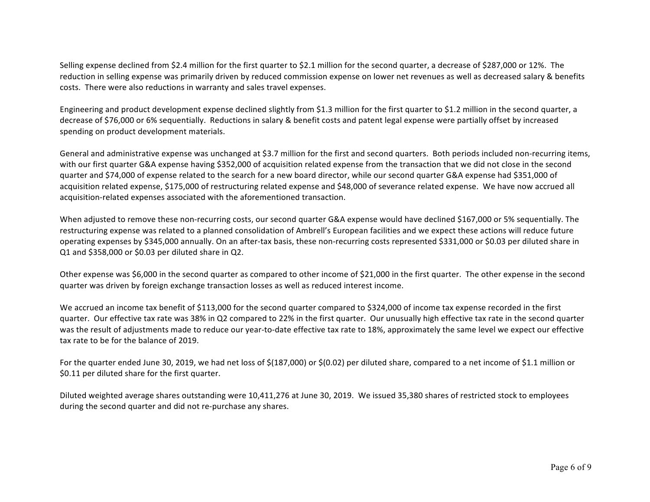Selling expense declined from \$2.4 million for the first quarter to \$2.1 million for the second quarter, a decrease of \$287,000 or 12%. The reduction in selling expense was primarily driven by reduced commission expense on lower net revenues as well as decreased salary & benefits costs. There were also reductions in warranty and sales travel expenses.

Engineering and product development expense declined slightly from \$1.3 million for the first quarter to \$1.2 million in the second quarter, a decrease of \$76,000 or 6% sequentially. Reductions in salary & benefit costs and patent legal expense were partially offset by increased spending on product development materials.

General and administrative expense was unchanged at \$3.7 million for the first and second quarters. Both periods included non-recurring items, with our first quarter G&A expense having \$352,000 of acquisition related expense from the transaction that we did not close in the second guarter and \$74,000 of expense related to the search for a new board director, while our second quarter G&A expense had \$351,000 of acquisition related expense, \$175,000 of restructuring related expense and \$48,000 of severance related expense. We have now accrued all acquisition-related expenses associated with the aforementioned transaction.

When adjusted to remove these non-recurring costs, our second quarter G&A expense would have declined \$167,000 or 5% sequentially. The restructuring expense was related to a planned consolidation of Ambrell's European facilities and we expect these actions will reduce future operating expenses by \$345,000 annually. On an after-tax basis, these non-recurring costs represented \$331,000 or \$0.03 per diluted share in  $Q1$  and \$358,000 or \$0.03 per diluted share in  $Q2$ .

Other expense was \$6,000 in the second quarter as compared to other income of \$21,000 in the first quarter. The other expense in the second quarter was driven by foreign exchange transaction losses as well as reduced interest income.

We accrued an income tax benefit of \$113,000 for the second quarter compared to \$324,000 of income tax expense recorded in the first guarter. Our effective tax rate was 38% in Q2 compared to 22% in the first quarter. Our unusually high effective tax rate in the second quarter was the result of adjustments made to reduce our year-to-date effective tax rate to 18%, approximately the same level we expect our effective tax rate to be for the balance of 2019.

For the quarter ended June 30, 2019, we had net loss of \$(187,000) or \$(0.02) per diluted share, compared to a net income of \$1.1 million or \$0.11 per diluted share for the first quarter.

Diluted weighted average shares outstanding were 10,411,276 at June 30, 2019. We issued 35,380 shares of restricted stock to employees during the second quarter and did not re-purchase any shares.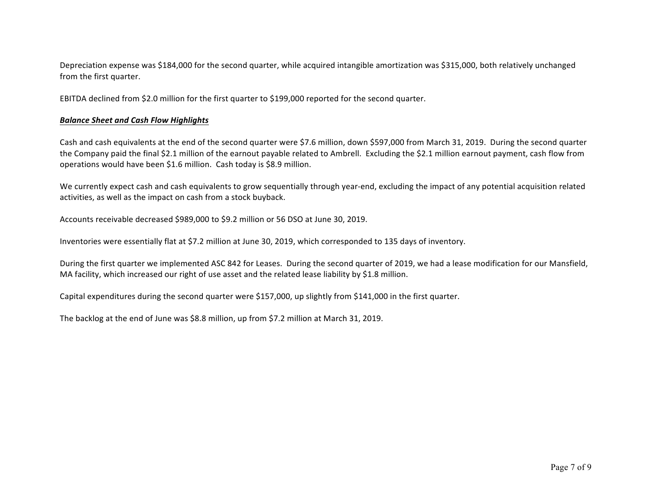Depreciation expense was \$184,000 for the second quarter, while acquired intangible amortization was \$315,000, both relatively unchanged from the first quarter.

EBITDA declined from \$2.0 million for the first quarter to \$199,000 reported for the second quarter.

#### *Balance Sheet and Cash Flow Highlights*

Cash and cash equivalents at the end of the second quarter were \$7.6 million, down \$597,000 from March 31, 2019. During the second quarter the Company paid the final \$2.1 million of the earnout payable related to Ambrell. Excluding the \$2.1 million earnout payment, cash flow from operations would have been \$1.6 million. Cash today is \$8.9 million.

We currently expect cash and cash equivalents to grow sequentially through year-end, excluding the impact of any potential acquisition related activities, as well as the impact on cash from a stock buyback.

Accounts receivable decreased \$989,000 to \$9.2 million or 56 DSO at June 30, 2019.

Inventories were essentially flat at \$7.2 million at June 30, 2019, which corresponded to 135 days of inventory.

During the first quarter we implemented ASC 842 for Leases. During the second quarter of 2019, we had a lease modification for our Mansfield, MA facility, which increased our right of use asset and the related lease liability by \$1.8 million.

Capital expenditures during the second quarter were \$157,000, up slightly from \$141,000 in the first quarter.

The backlog at the end of June was \$8.8 million, up from \$7.2 million at March 31, 2019.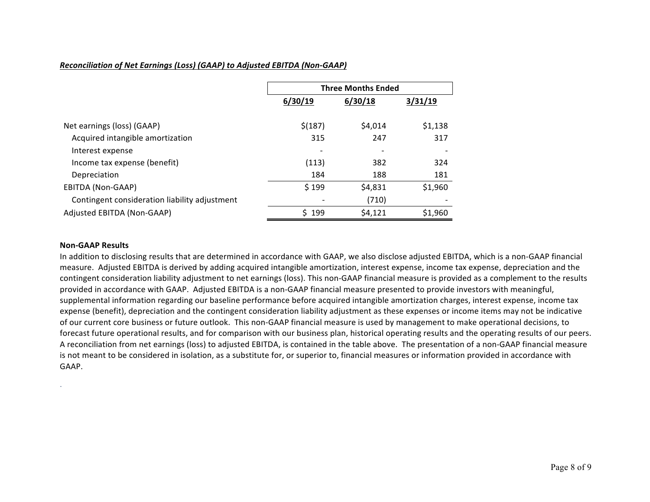# *Reconciliation of Net Earnings (Loss) (GAAP) to Adjusted EBITDA (Non-GAAP)*

|                                               | <b>Three Months Ended</b> |         |         |  |  |
|-----------------------------------------------|---------------------------|---------|---------|--|--|
|                                               | 6/30/19                   | 6/30/18 | 3/31/19 |  |  |
| Net earnings (loss) (GAAP)                    | \$(187)                   | \$4,014 | \$1,138 |  |  |
|                                               |                           |         |         |  |  |
| Acquired intangible amortization              | 315                       | 247     | 317     |  |  |
| Interest expense                              |                           |         |         |  |  |
| Income tax expense (benefit)                  | (113)                     | 382     | 324     |  |  |
| Depreciation                                  | 184                       | 188     | 181     |  |  |
| EBITDA (Non-GAAP)                             | \$199                     | \$4,831 | \$1,960 |  |  |
| Contingent consideration liability adjustment |                           | (710)   |         |  |  |
| Adjusted EBITDA (Non-GAAP)                    | \$199                     | \$4,121 | \$1,960 |  |  |

#### **Non-GAAP Results**

.

In addition to disclosing results that are determined in accordance with GAAP, we also disclose adjusted EBITDA, which is a non-GAAP financial measure. Adjusted EBITDA is derived by adding acquired intangible amortization, interest expense, income tax expense, depreciation and the contingent consideration liability adjustment to net earnings (loss). This non-GAAP financial measure is provided as a complement to the results provided in accordance with GAAP. Adjusted EBITDA is a non-GAAP financial measure presented to provide investors with meaningful, supplemental information regarding our baseline performance before acquired intangible amortization charges, interest expense, income tax expense (benefit), depreciation and the contingent consideration liability adjustment as these expenses or income items may not be indicative of our current core business or future outlook. This non-GAAP financial measure is used by management to make operational decisions, to forecast future operational results, and for comparison with our business plan, historical operating results and the operating results of our peers. A reconciliation from net earnings (loss) to adjusted EBITDA, is contained in the table above. The presentation of a non-GAAP financial measure is not meant to be considered in isolation, as a substitute for, or superior to, financial measures or information provided in accordance with GAAP.